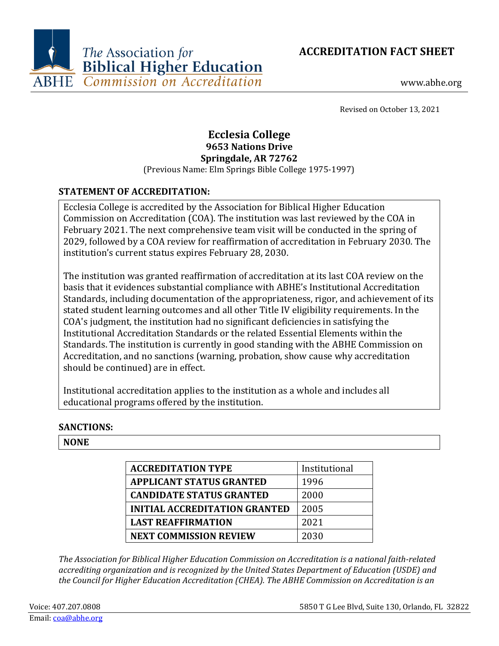



www.abhe.org

Revised on October 13, 2021

# **Ecclesia College 9653 Nations Drive Springdale, AR 72762**

(Previous Name: Elm Springs Bible College 1975-1997)

# **STATEMENT OF ACCREDITATION:**

Ecclesia College is accredited by the Association for Biblical Higher Education Commission on Accreditation (COA). The institution was last reviewed by the COA in February 2021. The next comprehensive team visit will be conducted in the spring of 2029, followed by a COA review for reaffirmation of accreditation in February 2030. The institution's current status expires February 28, 2030.

The institution was granted reaffirmation of accreditation at its last COA review on the basis that it evidences substantial compliance with ABHE's Institutional Accreditation Standards, including documentation of the appropriateness, rigor, and achievement of its stated student learning outcomes and all other Title IV eligibility requirements. In the COA's judgment, the institution had no significant deficiencies in satisfying the Institutional Accreditation Standards or the related Essential Elements within the Standards. The institution is currently in good standing with the ABHE Commission on Accreditation, and no sanctions (warning, probation, show cause why accreditation should be continued) are in effect.

Institutional accreditation applies to the institution as a whole and includes all educational programs offered by the institution.

## **SANCTIONS:**

## **NONE**

| <b>ACCREDITATION TYPE</b>            | Institutional |
|--------------------------------------|---------------|
| <b>APPLICANT STATUS GRANTED</b>      | 1996          |
| <b>CANDIDATE STATUS GRANTED</b>      | 2000          |
| <b>INITIAL ACCREDITATION GRANTED</b> | 2005          |
| <b>LAST REAFFIRMATION</b>            | 2021          |
| <b>NEXT COMMISSION REVIEW</b>        | 2030          |

*The Association for Biblical Higher Education Commission on Accreditation is a national faith-related accrediting organization and is recognized by the United States Department of Education (USDE) and the Council for Higher Education Accreditation (CHEA). The ABHE Commission on Accreditation is an*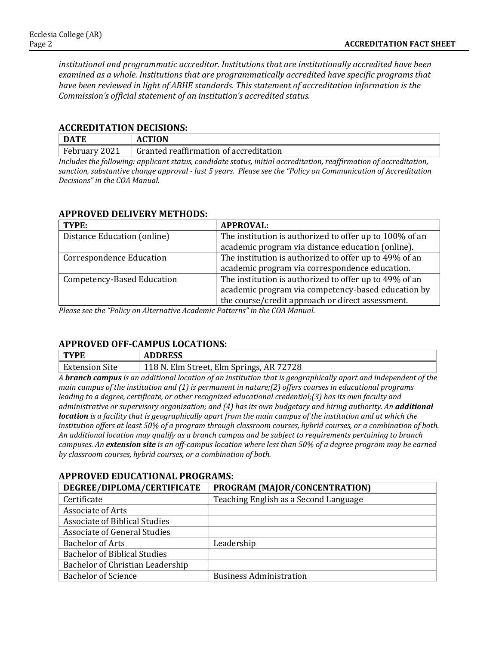*institutional and programmatic accreditor. Institutions that are institutionally accredited have been examined as a whole. Institutions that are programmatically accredited have specific programs that have been reviewed in light of ABHE standards. This statement of accreditation information is the Commission's official statement of an institution's accredited status.*

#### **ACCREDITATION DECISIONS:**

| <b>DATE</b>                                                                                                        | <b>ACTION</b>                          |  |
|--------------------------------------------------------------------------------------------------------------------|----------------------------------------|--|
| February 2021                                                                                                      | Granted reaffirmation of accreditation |  |
| Includes the following: applicant status, candidate status, initial accreditation, reaffirmation of accreditation, |                                        |  |

*sanction, substantive change approval - last 5 years. Please see the "Policy on Communication of Accreditation Decisions" in the COA Manual.*

### **APPROVED DELIVERY METHODS:**

| TYPE:                           | <b>APPROVAL:</b>                                                                                             |
|---------------------------------|--------------------------------------------------------------------------------------------------------------|
| Distance Education (online)     | The institution is authorized to offer up to 100% of an                                                      |
|                                 | academic program via distance education (online).                                                            |
| <b>Correspondence Education</b> | The institution is authorized to offer up to 49% of an                                                       |
|                                 | academic program via correspondence education.                                                               |
| Competency-Based Education      | The institution is authorized to offer up to 49% of an<br>academic program via competency-based education by |
|                                 | the course/credit approach or direct assessment.                                                             |

*Please see the "Policy on Alternative Academic Patterns" in the COA Manual.*

### **APPROVED OFF-CAMPUS LOCATIONS:**

| <b>TYPE</b>           | <b>ADDRESS</b>                           |
|-----------------------|------------------------------------------|
| <b>Extension Site</b> | 118 N. Elm Street, Elm Springs, AR 72728 |

*A branch campus is an additional location of an institution that is geographically apart and independent of the main campus of the institution and (1) is permanent in nature;(2) offers courses in educational programs leading to a degree, certificate, or other recognized educational credential;(3) has its own faculty and administrative or supervisory organization; and (4) has its own budgetary and hiring authority. An additional location is a facility that is geographically apart from the main campus of the institution and at which the institution offers at least 50% of a program through classroom courses, hybrid courses, or a combination of both. An additional location may qualify as a branch campus and be subject to requirements pertaining to branch campuses. An extension site is an off-campus location where less than 50% of a degree program may be earned by classroom courses, hybrid courses, or a combination of both.*

### **APPROVED EDUCATIONAL PROGRAMS:**

| DEGREE/DIPLOMA/CERTIFICATE           | PROGRAM (MAJOR/CONCENTRATION)         |
|--------------------------------------|---------------------------------------|
| Certificate                          | Teaching English as a Second Language |
| <b>Associate of Arts</b>             |                                       |
| <b>Associate of Biblical Studies</b> |                                       |
| Associate of General Studies         |                                       |
| <b>Bachelor of Arts</b>              | Leadership                            |
| <b>Bachelor of Biblical Studies</b>  |                                       |
| Bachelor of Christian Leadership     |                                       |
| <b>Bachelor of Science</b>           | <b>Business Administration</b>        |